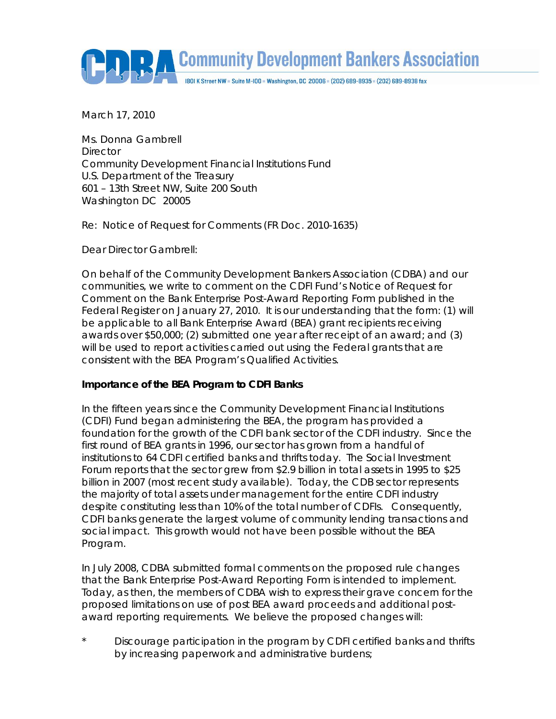**Community Development Bankers Association** 

I80I K Street NW = Suite M-I00 = Washington, DC 20006 = (202) 689-8935 = (202) 689-8938 fax

March 17, 2010

Ms. Donna Gambrell **Director** Community Development Financial Institutions Fund U.S. Department of the Treasury 601 – 13th Street NW, Suite 200 South Washington DC 20005

Re: Notice of Request for Comments (FR Doc. 2010-1635)

Dear Director Gambrell:

On behalf of the Community Development Bankers Association (CDBA) and our communities, we write to comment on the CDFI Fund's Notice of Request for Comment on the Bank Enterprise Post-Award Reporting Form published in the Federal Register on January 27, 2010. It is our understanding that the form: (1) will be applicable to all Bank Enterprise Award (BEA) grant recipients receiving awards over \$50,000; (2) submitted one year after receipt of an award; and (3) will be used to report activities carried out using the Federal grants that are consistent with the BEA Program's Qualified Activities.

## **Importance of the BEA Program to CDFI Banks**

In the fifteen years since the Community Development Financial Institutions (CDFI) Fund began administering the BEA, the program has provided a foundation for the growth of the CDFI bank sector of the CDFI industry. Since the first round of BEA grants in 1996, our sector has grown from a handful of institutions to 64 CDFI certified banks and thrifts today. The Social Investment Forum reports that the sector grew from \$2.9 billion in total assets in 1995 to \$25 billion in 2007 (most recent study available). Today, the CDB sector represents the majority of total assets under management for the entire CDFI industry despite constituting less than 10% of the total number of CDFIs. Consequently, CDFI banks generate the largest volume of community lending transactions and social impact. This growth would not have been possible without the BEA Program.

In July 2008, CDBA submitted formal comments on the proposed rule changes that the Bank Enterprise Post-Award Reporting Form is intended to implement. Today, as then, the members of CDBA wish to express their grave concern for the proposed limitations on use of post BEA award proceeds and additional postaward reporting requirements. We believe the proposed changes will:

Discourage participation in the program by CDFI certified banks and thrifts by increasing paperwork and administrative burdens;